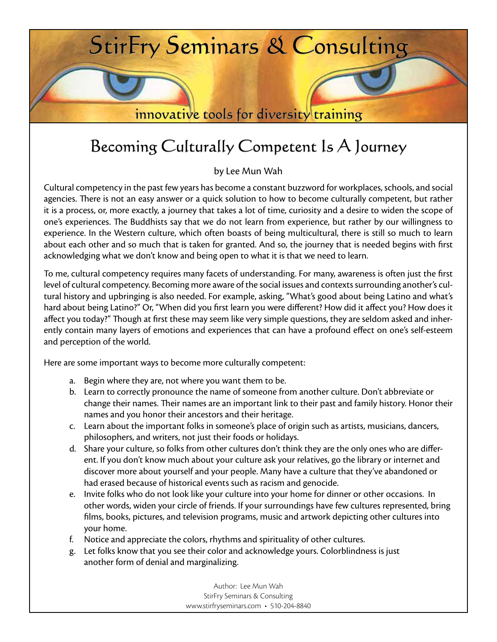

## Becoming Culturally Competent Is A Journey

by Lee Mun Wah

Cultural competency in the past few years has become a constant buzzword for workplaces, schools, and social agencies. There is not an easy answer or a quick solution to how to become culturally competent, but rather it is a process, or, more exactly, a journey that takes a lot of time, curiosity and a desire to widen the scope of one's experiences. The Buddhists say that we do not learn from experience, but rather by our willingness to experience. In the Western culture, which often boasts of being multicultural, there is still so much to learn about each other and so much that is taken for granted. And so, the journey that is needed begins with first acknowledging what we don't know and being open to what it is that we need to learn.

To me, cultural competency requires many facets of understanding. For many, awareness is often just the first level of cultural competency. Becoming more aware of the social issues and contexts surrounding another's cultural history and upbringing is also needed. For example, asking, "What's good about being Latino and what's hard about being Latino?" Or, "When did you first learn you were different? How did it affect you? How does it affect you today?" Though at first these may seem like very simple questions, they are seldom asked and inherently contain many layers of emotions and experiences that can have a profound effect on one's self-esteem and perception of the world.

Here are some important ways to become more culturally competent:

- a. Begin where they are, not where you want them to be.
- b. Learn to correctly pronounce the name of someone from another culture. Don't abbreviate or change their names. Their names are an important link to their past and family history. Honor their names and you honor their ancestors and their heritage.
- c. Learn about the important folks in someone's place of origin such as artists, musicians, dancers, philosophers, and writers, not just their foods or holidays.
- d. Share your culture, so folks from other cultures don't think they are the only ones who are different. If you don't know much about your culture ask your relatives, go the library or internet and discover more about yourself and your people. Many have a culture that they've abandoned or had erased because of historical events such as racism and genocide.
- e. Invite folks who do not look like your culture into your home for dinner or other occasions. In other words, widen your circle of friends. If your surroundings have few cultures represented, bring films, books, pictures, and television programs, music and artwork depicting other cultures into your home.
- f. Notice and appreciate the colors, rhythms and spirituality of other cultures.
- g. Let folks know that you see their color and acknowledge yours. Colorblindness is just another form of denial and marginalizing.

Author: Lee Mun Wah StirFry Seminars & Consulting www.stirfryseminars.com • 510-204-8840